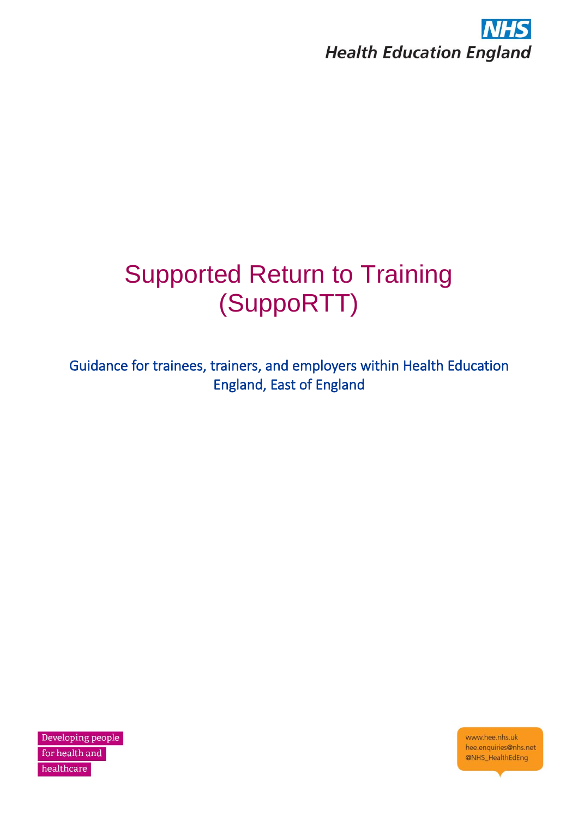

# Supported Return to Training (SuppoRTT)

Guidance for trainees, trainers, and employers within Health Education England, East of England

Developing people for health and healthcare

www.hee.nhs.uk hee.enquiries@nhs.net @NHS\_HealthEdEng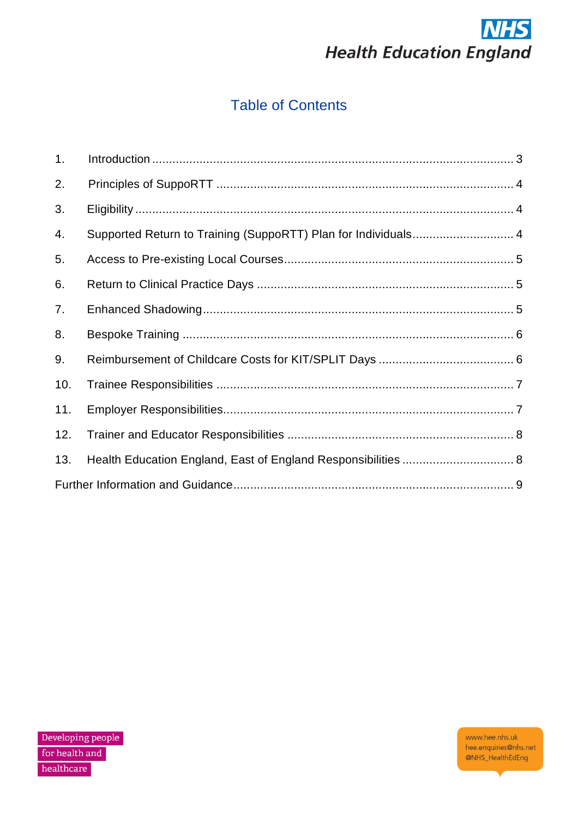

# **Table of Contents**

| 1.  |                                                                |  |  |  |
|-----|----------------------------------------------------------------|--|--|--|
| 2.  |                                                                |  |  |  |
| 3.  |                                                                |  |  |  |
| 4.  | Supported Return to Training (SuppoRTT) Plan for Individuals 4 |  |  |  |
| 5.  |                                                                |  |  |  |
| 6.  |                                                                |  |  |  |
| 7.  |                                                                |  |  |  |
| 8.  |                                                                |  |  |  |
| 9.  |                                                                |  |  |  |
| 10. |                                                                |  |  |  |
| 11. |                                                                |  |  |  |
| 12. |                                                                |  |  |  |
| 13. | Health Education England, East of England Responsibilities  8  |  |  |  |
|     |                                                                |  |  |  |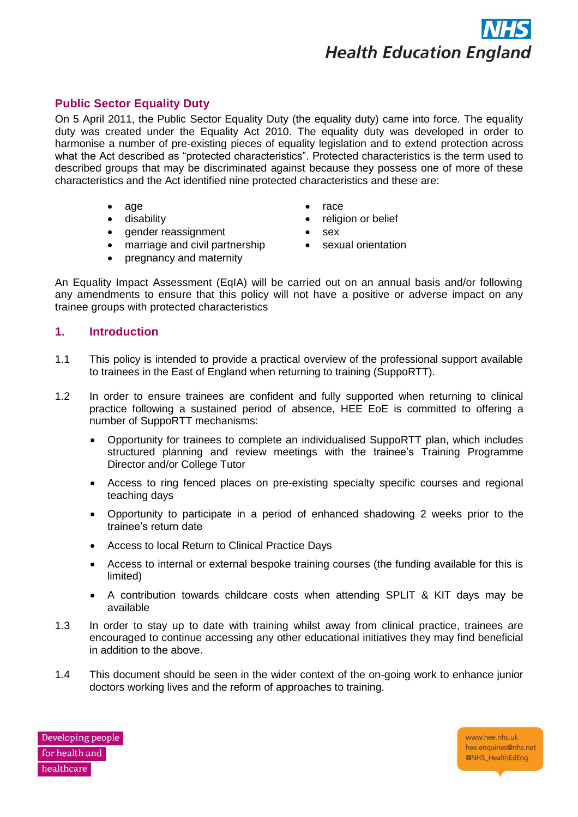

# **Public Sector Equality Duty**

On 5 April 2011, the Public Sector Equality Duty (the equality duty) came into force. The equality duty was created under the Equality Act 2010. The equality duty was developed in order to harmonise a number of pre-existing pieces of equality legislation and to extend protection across what the Act described as "protected characteristics". Protected characteristics is the term used to described groups that may be discriminated against because they possess one of more of these characteristics and the Act identified nine protected characteristics and these are:

> • age • disability

- race
- 
- gender reassignment
- religion or belief
- sex
- marriage and civil partnership • pregnancy and maternity
- sexual orientation
- 

An Equality Impact Assessment (EqIA) will be carried out on an annual basis and/or following any amendments to ensure that this policy will not have a positive or adverse impact on any trainee groups with protected characteristics

# <span id="page-2-0"></span>**1. Introduction**

- 1.1 This policy is intended to provide a practical overview of the professional support available to trainees in the East of England when returning to training (SuppoRTT).
- 1.2 In order to ensure trainees are confident and fully supported when returning to clinical practice following a sustained period of absence, HEE EoE is committed to offering a number of SuppoRTT mechanisms:
	- Opportunity for trainees to complete an individualised SuppoRTT plan, which includes structured planning and review meetings with the trainee's Training Programme Director and/or College Tutor
	- Access to ring fenced places on pre-existing specialty specific courses and regional teaching days
	- Opportunity to participate in a period of enhanced shadowing 2 weeks prior to the trainee's return date
	- Access to local Return to Clinical Practice Days
	- Access to internal or external bespoke training courses (the funding available for this is limited)
	- A contribution towards childcare costs when attending SPLIT & KIT days may be available
- 1.3 In order to stay up to date with training whilst away from clinical practice, trainees are encouraged to continue accessing any other educational initiatives they may find beneficial in addition to the above.
- 1.4 This document should be seen in the wider context of the on-going work to enhance junior doctors working lives and the reform of approaches to training.

Developing people for health and healthcare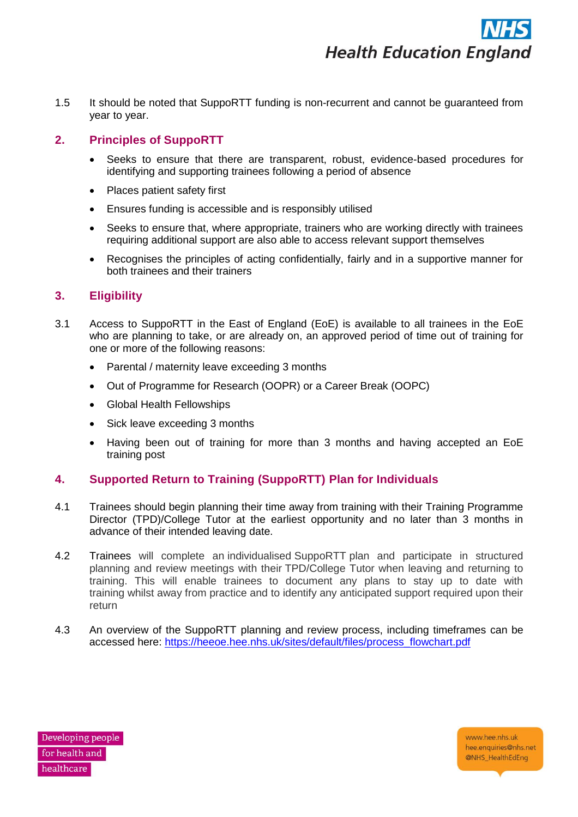1.5 It should be noted that SuppoRTT funding is non-recurrent and cannot be guaranteed from year to year.

# <span id="page-3-0"></span>**2. Principles of SuppoRTT**

- Seeks to ensure that there are transparent, robust, evidence-based procedures for identifying and supporting trainees following a period of absence
- Places patient safety first
- Ensures funding is accessible and is responsibly utilised
- Seeks to ensure that, where appropriate, trainers who are working directly with trainees requiring additional support are also able to access relevant support themselves
- Recognises the principles of acting confidentially, fairly and in a supportive manner for both trainees and their trainers

# <span id="page-3-1"></span>**3. Eligibility**

- 3.1 Access to SuppoRTT in the East of England (EoE) is available to all trainees in the EoE who are planning to take, or are already on, an approved period of time out of training for one or more of the following reasons:
	- Parental / maternity leave exceeding 3 months
	- Out of Programme for Research (OOPR) or a Career Break (OOPC)
	- Global Health Fellowships
	- Sick leave exceeding 3 months
	- Having been out of training for more than 3 months and having accepted an EoE training post

# <span id="page-3-2"></span>**4. Supported Return to Training (SuppoRTT) Plan for Individuals**

- 4.1 Trainees should begin planning their time away from training with their Training Programme Director (TPD)/College Tutor at the earliest opportunity and no later than 3 months in advance of their intended leaving date.
- 4.2 Trainees will complete an individualised SuppoRTT plan and participate in structured planning and review meetings with their TPD/College Tutor when leaving and returning to training. This will enable trainees to document any plans to stay up to date with training whilst away from practice and to identify any anticipated support required upon their return
- 4.3 An overview of the SuppoRTT planning and review process, including timeframes can be accessed here: [https://heeoe.hee.nhs.uk/sites/default/files/process\\_flowchart.pdf](https://heeoe.hee.nhs.uk/sites/default/files/process_flowchart.pdf)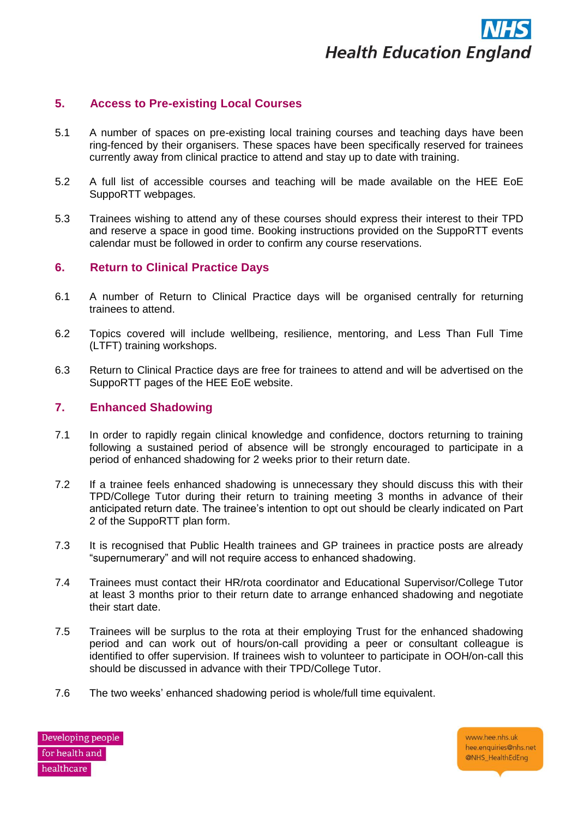

# <span id="page-4-0"></span>**5. Access to Pre-existing Local Courses**

- 5.1 A number of spaces on pre-existing local training courses and teaching days have been ring-fenced by their organisers. These spaces have been specifically reserved for trainees currently away from clinical practice to attend and stay up to date with training.
- 5.2 A full list of accessible courses and teaching will be made available on the HEE EoE SuppoRTT webpages.
- 5.3 Trainees wishing to attend any of these courses should express their interest to their TPD and reserve a space in good time. Booking instructions provided on the SuppoRTT events calendar must be followed in order to confirm any course reservations.

# <span id="page-4-1"></span>**6. Return to Clinical Practice Days**

- 6.1 A number of Return to Clinical Practice days will be organised centrally for returning trainees to attend.
- 6.2 Topics covered will include wellbeing, resilience, mentoring, and Less Than Full Time (LTFT) training workshops.
- 6.3 Return to Clinical Practice days are free for trainees to attend and will be advertised on the SuppoRTT pages of the HEE EoE website.

#### <span id="page-4-2"></span>**7. Enhanced Shadowing**

- 7.1 In order to rapidly regain clinical knowledge and confidence, doctors returning to training following a sustained period of absence will be strongly encouraged to participate in a period of enhanced shadowing for 2 weeks prior to their return date.
- 7.2 If a trainee feels enhanced shadowing is unnecessary they should discuss this with their TPD/College Tutor during their return to training meeting 3 months in advance of their anticipated return date. The trainee's intention to opt out should be clearly indicated on Part 2 of the SuppoRTT plan form.
- 7.3 It is recognised that Public Health trainees and GP trainees in practice posts are already "supernumerary" and will not require access to enhanced shadowing.
- 7.4 Trainees must contact their HR/rota coordinator and Educational Supervisor/College Tutor at least 3 months prior to their return date to arrange enhanced shadowing and negotiate their start date.
- 7.5 Trainees will be surplus to the rota at their employing Trust for the enhanced shadowing period and can work out of hours/on-call providing a peer or consultant colleague is identified to offer supervision. If trainees wish to volunteer to participate in OOH/on-call this should be discussed in advance with their TPD/College Tutor.
- 7.6 The two weeks' enhanced shadowing period is whole/full time equivalent.

Developing people for health and healthcare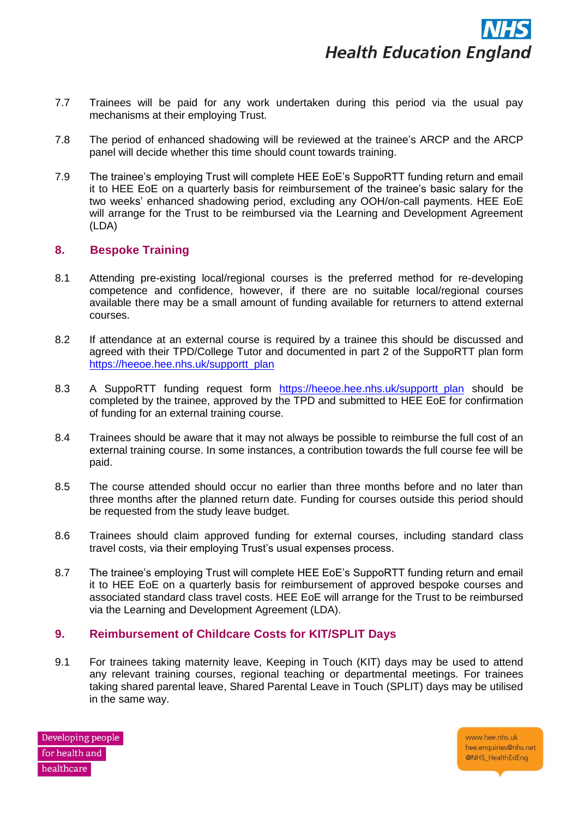- 7.7 Trainees will be paid for any work undertaken during this period via the usual pay mechanisms at their employing Trust.
- 7.8 The period of enhanced shadowing will be reviewed at the trainee's ARCP and the ARCP panel will decide whether this time should count towards training.
- 7.9 The trainee's employing Trust will complete HEE EoE's SuppoRTT funding return and email it to HEE EoE on a quarterly basis for reimbursement of the trainee's basic salary for the two weeks' enhanced shadowing period, excluding any OOH/on-call payments. HEE EoE will arrange for the Trust to be reimbursed via the Learning and Development Agreement (LDA)

# <span id="page-5-0"></span>**8. Bespoke Training**

- 8.1 Attending pre-existing local/regional courses is the preferred method for re-developing competence and confidence, however, if there are no suitable local/regional courses available there may be a small amount of funding available for returners to attend external courses.
- 8.2 If attendance at an external course is required by a trainee this should be discussed and agreed with their TPD/College Tutor and documented in part 2 of the SuppoRTT plan form [https://heeoe.hee.nhs.uk/supportt\\_plan](https://heeoe.hee.nhs.uk/supportt_plan)
- 8.3 A SuppoRTT funding request form https://heeoe.hee.nhs.uk/supportt plan should be completed by the trainee, approved by the TPD and submitted to HEE EoE for confirmation of funding for an external training course.
- 8.4 Trainees should be aware that it may not always be possible to reimburse the full cost of an external training course. In some instances, a contribution towards the full course fee will be paid.
- 8.5 The course attended should occur no earlier than three months before and no later than three months after the planned return date. Funding for courses outside this period should be requested from the study leave budget.
- 8.6 Trainees should claim approved funding for external courses, including standard class travel costs, via their employing Trust's usual expenses process.
- 8.7 The trainee's employing Trust will complete HEE EoE's SuppoRTT funding return and email it to HEE EoE on a quarterly basis for reimbursement of approved bespoke courses and associated standard class travel costs. HEE EoE will arrange for the Trust to be reimbursed via the Learning and Development Agreement (LDA).

#### <span id="page-5-1"></span>**9. Reimbursement of Childcare Costs for KIT/SPLIT Days**

9.1 For trainees taking maternity leave, Keeping in Touch (KIT) days may be used to attend any relevant training courses, regional teaching or departmental meetings. For trainees taking shared parental leave, Shared Parental Leave in Touch (SPLIT) days may be utilised in the same way.

Developing people for health and healthcare

www.hee.nhs.uk hee.enquiries@nhs.net @NHS\_HealthEdEng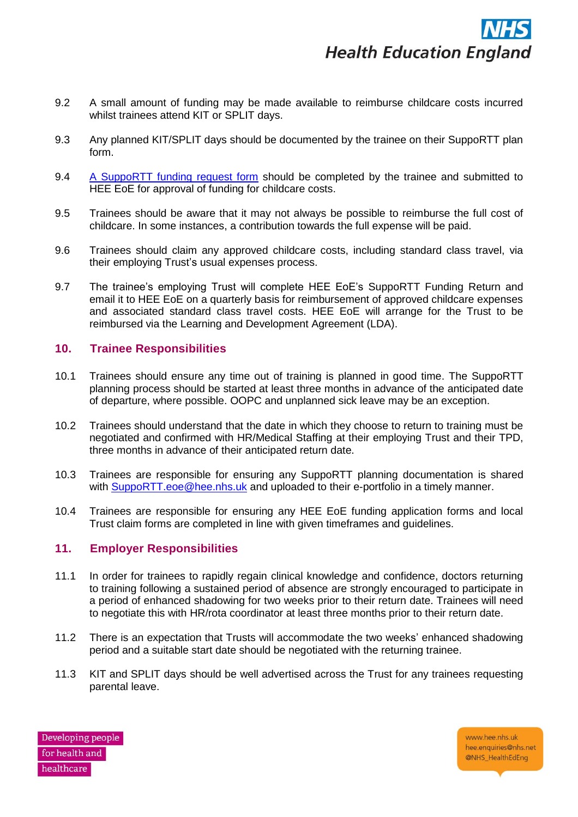

- 9.2 A small amount of funding may be made available to reimburse childcare costs incurred whilst trainees attend KIT or SPLIT days.
- 9.3 Any planned KIT/SPLIT days should be documented by the trainee on their SuppoRTT plan form.
- 9.4 [A SuppoRTT funding request form](https://heeoe.hee.nhs.uk/supportt_funding) should be completed by the trainee and submitted to HEE EoE for approval of funding for childcare costs.
- 9.5 Trainees should be aware that it may not always be possible to reimburse the full cost of childcare. In some instances, a contribution towards the full expense will be paid.
- 9.6 Trainees should claim any approved childcare costs, including standard class travel, via their employing Trust's usual expenses process.
- 9.7 The trainee's employing Trust will complete HEE EoE's SuppoRTT Funding Return and email it to HEE EoE on a quarterly basis for reimbursement of approved childcare expenses and associated standard class travel costs. HEE EoE will arrange for the Trust to be reimbursed via the Learning and Development Agreement (LDA).

# <span id="page-6-0"></span>**10. Trainee Responsibilities**

- 10.1 Trainees should ensure any time out of training is planned in good time. The SuppoRTT planning process should be started at least three months in advance of the anticipated date of departure, where possible. OOPC and unplanned sick leave may be an exception.
- 10.2 Trainees should understand that the date in which they choose to return to training must be negotiated and confirmed with HR/Medical Staffing at their employing Trust and their TPD, three months in advance of their anticipated return date.
- 10.3 Trainees are responsible for ensuring any SuppoRTT planning documentation is shared with [SuppoRTT.eoe@hee.nhs.uk](mailto:SuppoRTT.eoe@hee.nhs.uk) and uploaded to their e-portfolio in a timely manner.
- 10.4 Trainees are responsible for ensuring any HEE EoE funding application forms and local Trust claim forms are completed in line with given timeframes and guidelines.

#### <span id="page-6-1"></span>**11. Employer Responsibilities**

- 11.1 In order for trainees to rapidly regain clinical knowledge and confidence, doctors returning to training following a sustained period of absence are strongly encouraged to participate in a period of enhanced shadowing for two weeks prior to their return date. Trainees will need to negotiate this with HR/rota coordinator at least three months prior to their return date.
- 11.2 There is an expectation that Trusts will accommodate the two weeks' enhanced shadowing period and a suitable start date should be negotiated with the returning trainee.
- 11.3 KIT and SPLIT days should be well advertised across the Trust for any trainees requesting parental leave.

Developing people for health and healthcare

www.hee.nhs.uk hee.enquiries@nhs.net @NHS\_HealthEdEng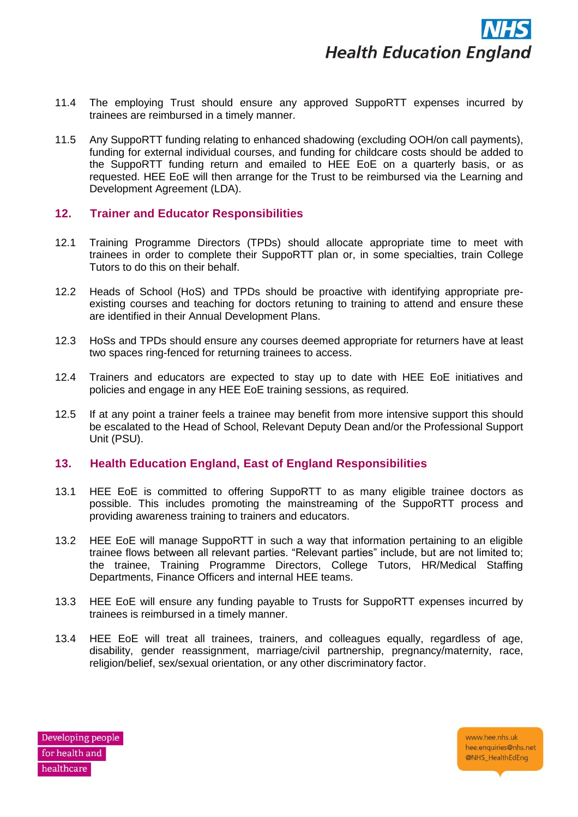- 11.4 The employing Trust should ensure any approved SuppoRTT expenses incurred by trainees are reimbursed in a timely manner.
- 11.5 Any SuppoRTT funding relating to enhanced shadowing (excluding OOH/on call payments), funding for external individual courses, and funding for childcare costs should be added to the SuppoRTT funding return and emailed to HEE EoE on a quarterly basis, or as requested. HEE EoE will then arrange for the Trust to be reimbursed via the Learning and Development Agreement (LDA).

# <span id="page-7-0"></span>**12. Trainer and Educator Responsibilities**

- 12.1 Training Programme Directors (TPDs) should allocate appropriate time to meet with trainees in order to complete their SuppoRTT plan or, in some specialties, train College Tutors to do this on their behalf.
- 12.2 Heads of School (HoS) and TPDs should be proactive with identifying appropriate preexisting courses and teaching for doctors retuning to training to attend and ensure these are identified in their Annual Development Plans.
- 12.3 HoSs and TPDs should ensure any courses deemed appropriate for returners have at least two spaces ring-fenced for returning trainees to access.
- 12.4 Trainers and educators are expected to stay up to date with HEE EoE initiatives and policies and engage in any HEE EoE training sessions, as required.
- 12.5 If at any point a trainer feels a trainee may benefit from more intensive support this should be escalated to the Head of School, Relevant Deputy Dean and/or the Professional Support Unit (PSU).

#### <span id="page-7-1"></span>**13. Health Education England, East of England Responsibilities**

- 13.1 HEE EoE is committed to offering SuppoRTT to as many eligible trainee doctors as possible. This includes promoting the mainstreaming of the SuppoRTT process and providing awareness training to trainers and educators.
- 13.2 HEE EoE will manage SuppoRTT in such a way that information pertaining to an eligible trainee flows between all relevant parties. "Relevant parties" include, but are not limited to; the trainee, Training Programme Directors, College Tutors, HR/Medical Staffing Departments, Finance Officers and internal HEE teams.
- 13.3 HEE EoE will ensure any funding payable to Trusts for SuppoRTT expenses incurred by trainees is reimbursed in a timely manner.
- 13.4 HEE EoE will treat all trainees, trainers, and colleagues equally, regardless of age, disability, gender reassignment, marriage/civil partnership, pregnancy/maternity, race, religion/belief, sex/sexual orientation, or any other discriminatory factor.